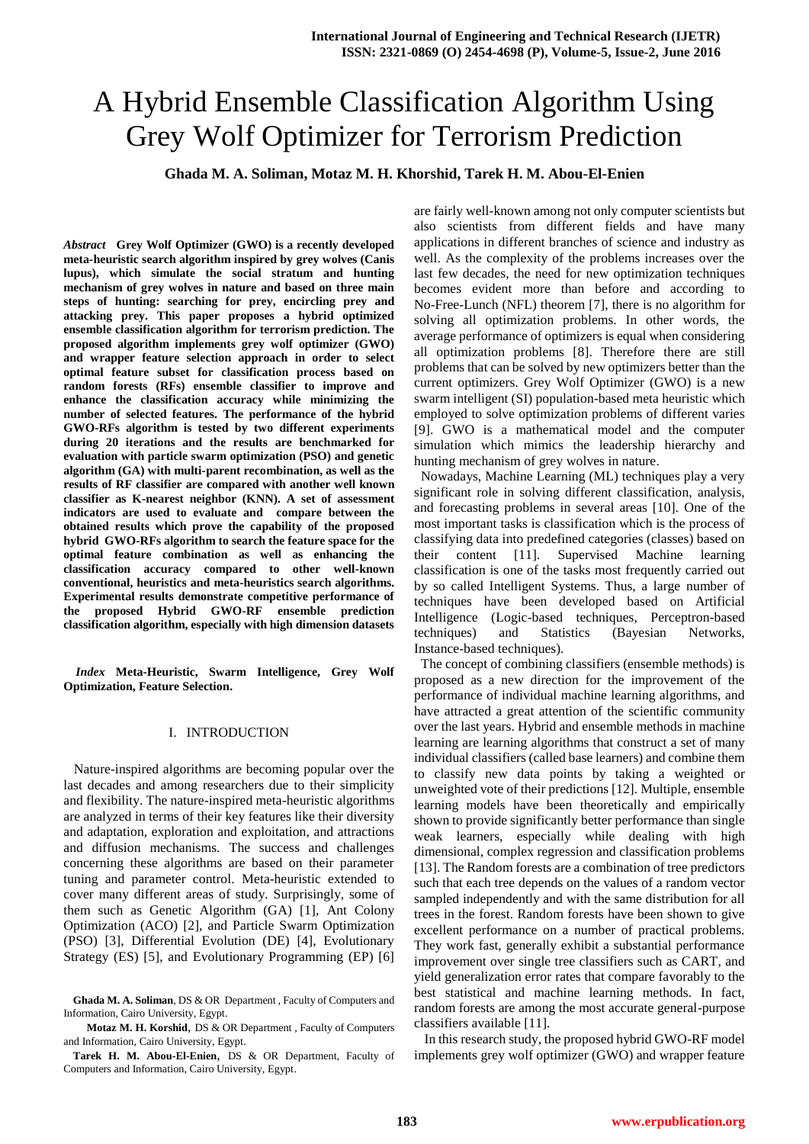# A Hybrid Ensemble Classification Algorithm Using Grey Wolf Optimizer for Terrorism Prediction

**Ghada M. A. Soliman, Motaz M. H. Khorshid, Tarek H. M. Abou-El-Enien**

*Abstract* **Grey Wolf Optimizer (GWO) is a recently developed meta-heuristic search algorithm inspired by grey wolves (Canis lupus), which simulate the social stratum and hunting mechanism of grey wolves in nature and based on three main steps of hunting: searching for prey, encircling prey and attacking prey. This paper proposes a hybrid optimized ensemble classification algorithm for terrorism prediction. The proposed algorithm implements grey wolf optimizer (GWO) and wrapper feature selection approach in order to select optimal feature subset for classification process based on random forests (RFs) ensemble classifier to improve and enhance the classification accuracy while minimizing the number of selected features. The performance of the hybrid GWO-RFs algorithm is tested by two different experiments during 20 iterations and the results are benchmarked for evaluation with particle swarm optimization (PSO) and genetic algorithm (GA) with multi-parent recombination, as well as the results of RF classifier are compared with another well known classifier as K-nearest neighbor (KNN). A set of assessment indicators are used to evaluate and compare between the obtained results which prove the capability of the proposed hybrid GWO-RFs algorithm to search the feature space for the optimal feature combination as well as enhancing the classification accuracy compared to other well-known conventional, heuristics and meta-heuristics search algorithms. Experimental results demonstrate competitive performance of the proposed Hybrid GWO-RF ensemble prediction classification algorithm, especially with high dimension datasets**

*Index* **Meta-Heuristic, Swarm Intelligence, Grey Wolf Optimization, Feature Selection.** 

#### I. INTRODUCTION

 Nature-inspired algorithms are becoming popular over the last decades and among researchers due to their simplicity and flexibility. The nature-inspired meta-heuristic algorithms are analyzed in terms of their key features like their diversity and adaptation, exploration and exploitation, and attractions and diffusion mechanisms. The success and challenges concerning these algorithms are based on their parameter tuning and parameter control. Meta-heuristic extended to cover many different areas of study. Surprisingly, some of them such as Genetic Algorithm (GA) [1], Ant Colony Optimization (ACO) [2], and Particle Swarm Optimization (PSO) [3], Differential Evolution (DE) [4], Evolutionary Strategy (ES) [5], and Evolutionary Programming (EP) [6]

**Tarek H. M. Abou-El-Enien**, DS & OR Department, Faculty of Computers and Information, Cairo University, Egypt.

are fairly well-known among not only computer scientists but also scientists from different fields and have many applications in different branches of science and industry as well. As the complexity of the problems increases over the last few decades, the need for new optimization techniques becomes evident more than before and according to No-Free-Lunch (NFL) theorem [7], there is no algorithm for solving all optimization problems. In other words, the average performance of optimizers is equal when considering all optimization problems [8]. Therefore there are still problems that can be solved by new optimizers better than the current optimizers. Grey Wolf Optimizer (GWO) is a new swarm intelligent (SI) population-based meta heuristic which employed to solve optimization problems of different varies [9]. GWO is a mathematical model and the computer simulation which mimics the leadership hierarchy and hunting mechanism of grey wolves in nature.

 Nowadays, Machine Learning (ML) techniques play a very significant role in solving different classification, analysis, and forecasting problems in several areas [10]. One of the most important tasks is classification which is the process of classifying data into predefined categories (classes) based on their content [11]. Supervised Machine learning classification is one of the tasks most frequently carried out by so called Intelligent Systems. Thus, a large number of techniques have been developed based on Artificial Intelligence (Logic-based techniques, Perceptron-based techniques) and Statistics (Bayesian Networks, Instance-based techniques).

 The concept of combining classifiers (ensemble methods) is proposed as a new direction for the improvement of the performance of individual machine learning algorithms, and have attracted a great attention of the scientific community over the last years. Hybrid and ensemble methods in machine learning are learning algorithms that construct a set of many individual classifiers (called base learners) and combine them to classify new data points by taking a weighted or unweighted vote of their predictions [12]. Multiple, ensemble learning models have been theoretically and empirically shown to provide significantly better performance than single weak learners, especially while dealing with high dimensional, complex regression and classification problems [13]. The Random forests are a combination of tree predictors such that each tree depends on the values of a random vector sampled independently and with the same distribution for all trees in the forest. Random forests have been shown to give excellent performance on a number of practical problems. They work fast, generally exhibit a substantial performance improvement over single tree classifiers such as CART, and yield generalization error rates that compare favorably to the best statistical and machine learning methods. In fact, random forests are among the most accurate general-purpose classifiers available [11].

 In this research study, the proposed hybrid GWO-RF model implements grey wolf optimizer (GWO) and wrapper feature

**Ghada M. A. Soliman**, DS & OR Department , Faculty of Computers and Information, Cairo University, Egypt.

**Motaz M. H. Korshid**, DS & OR Department , Faculty of Computers and Information, Cairo University, Egypt.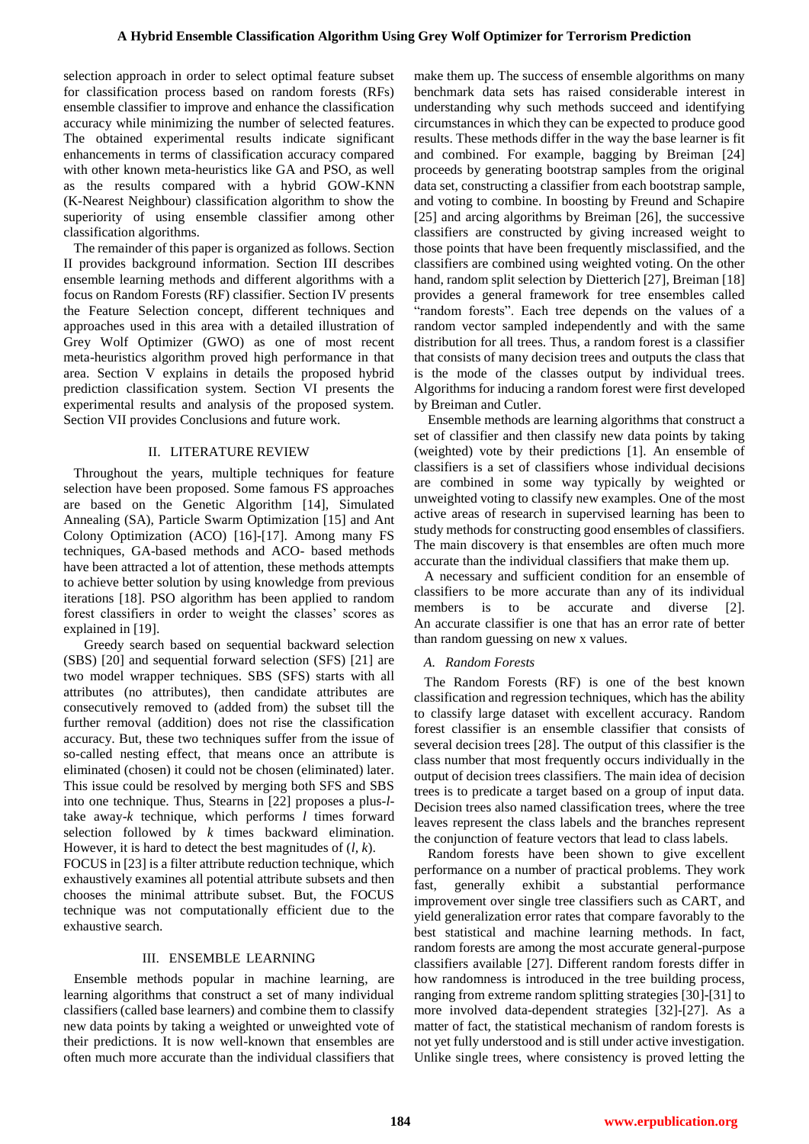selection approach in order to select optimal feature subset for classification process based on random forests (RFs) ensemble classifier to improve and enhance the classification accuracy while minimizing the number of selected features. The obtained experimental results indicate significant enhancements in terms of classification accuracy compared with other known meta-heuristics like GA and PSO, as well as the results compared with a hybrid GOW-KNN (K-Nearest Neighbour) classification algorithm to show the superiority of using ensemble classifier among other classification algorithms.

 The remainder of this paper is organized as follows. Section II provides background information. Section III describes ensemble learning methods and different algorithms with a focus on Random Forests (RF) classifier. Section IV presents the Feature Selection concept, different techniques and approaches used in this area with a detailed illustration of Grey Wolf Optimizer (GWO) as one of most recent meta-heuristics algorithm proved high performance in that area. Section V explains in details the proposed hybrid prediction classification system. Section VI presents the experimental results and analysis of the proposed system. Section VII provides Conclusions and future work.

## II. LITERATURE REVIEW

 Throughout the years, multiple techniques for feature selection have been proposed. Some famous FS approaches are based on the Genetic Algorithm [14], Simulated Annealing (SA), Particle Swarm Optimization [15] and Ant Colony Optimization (ACO) [16]-[17]. Among many FS techniques, GA-based methods and ACO- based methods have been attracted a lot of attention, these methods attempts to achieve better solution by using knowledge from previous iterations [18]. PSO algorithm has been applied to random forest classifiers in order to weight the classes' scores as explained in [19].

 Greedy search based on sequential backward selection (SBS) [20] and sequential forward selection (SFS) [21] are two model wrapper techniques. SBS (SFS) starts with all attributes (no attributes), then candidate attributes are consecutively removed to (added from) the subset till the further removal (addition) does not rise the classification accuracy. But, these two techniques suffer from the issue of so-called nesting effect, that means once an attribute is eliminated (chosen) it could not be chosen (eliminated) later. This issue could be resolved by merging both SFS and SBS into one technique. Thus, Stearns in [22] proposes a plus-*l*take away-*k* technique, which performs *l* times forward selection followed by *k* times backward elimination. However, it is hard to detect the best magnitudes of (*l, k*).

FOCUS in [23] is a filter attribute reduction technique, which exhaustively examines all potential attribute subsets and then chooses the minimal attribute subset. But, the FOCUS technique was not computationally efficient due to the exhaustive search.

## III. ENSEMBLE LEARNING

 Ensemble methods popular in machine learning, are learning algorithms that construct a set of many individual classifiers (called base learners) and combine them to classify new data points by taking a weighted or unweighted vote of their predictions. It is now well-known that ensembles are often much more accurate than the individual classifiers that

make them up. The success of ensemble algorithms on many benchmark data sets has raised considerable interest in understanding why such methods succeed and identifying circumstances in which they can be expected to produce good results. These methods differ in the way the base learner is fit and combined. For example, bagging by Breiman [24] proceeds by generating bootstrap samples from the original data set, constructing a classifier from each bootstrap sample, and voting to combine. In boosting by Freund and Schapire [25] and arcing algorithms by Breiman [26], the successive classifiers are constructed by giving increased weight to those points that have been frequently misclassified, and the classifiers are combined using weighted voting. On the other hand, random split selection by Dietterich [27], Breiman [18] provides a general framework for tree ensembles called "random forests". Each tree depends on the values of a random vector sampled independently and with the same distribution for all trees. Thus, a random forest is a classifier that consists of many decision trees and outputs the class that is the mode of the classes output by individual trees. Algorithms for inducing a random forest were first developed by Breiman and Cutler.

 Ensemble methods are learning algorithms that construct a set of classifier and then classify new data points by taking (weighted) vote by their predictions [1]. An ensemble of classifiers is a set of classifiers whose individual decisions are combined in some way typically by weighted or unweighted voting to classify new examples. One of the most active areas of research in supervised learning has been to study methods for constructing good ensembles of classifiers. The main discovery is that ensembles are often much more accurate than the individual classifiers that make them up.

 A necessary and sufficient condition for an ensemble of classifiers to be more accurate than any of its individual members is to be accurate and diverse [2]. An accurate classifier is one that has an error rate of better than random guessing on new x values.

## *A. Random Forests*

 The Random Forests (RF) is one of the best known classification and regression techniques, which has the ability to classify large dataset with excellent accuracy. Random forest classifier is an ensemble classifier that consists of several decision trees [28]. The output of this classifier is the class number that most frequently occurs individually in the output of decision trees classifiers. The main idea of decision trees is to predicate a target based on a group of input data. Decision trees also named classification trees, where the tree leaves represent the class labels and the branches represent the conjunction of feature vectors that lead to class labels.

 Random forests have been shown to give excellent performance on a number of practical problems. They work fast, generally exhibit a substantial performance improvement over single tree classifiers such as CART, and yield generalization error rates that compare favorably to the best statistical and machine learning methods. In fact, random forests are among the most accurate general-purpose classifiers available [27]. Different random forests differ in how randomness is introduced in the tree building process, ranging from extreme random splitting strategies [30]-[31] to more involved data-dependent strategies [32]-[27]. As a matter of fact, the statistical mechanism of random forests is not yet fully understood and is still under active investigation. Unlike single trees, where consistency is proved letting the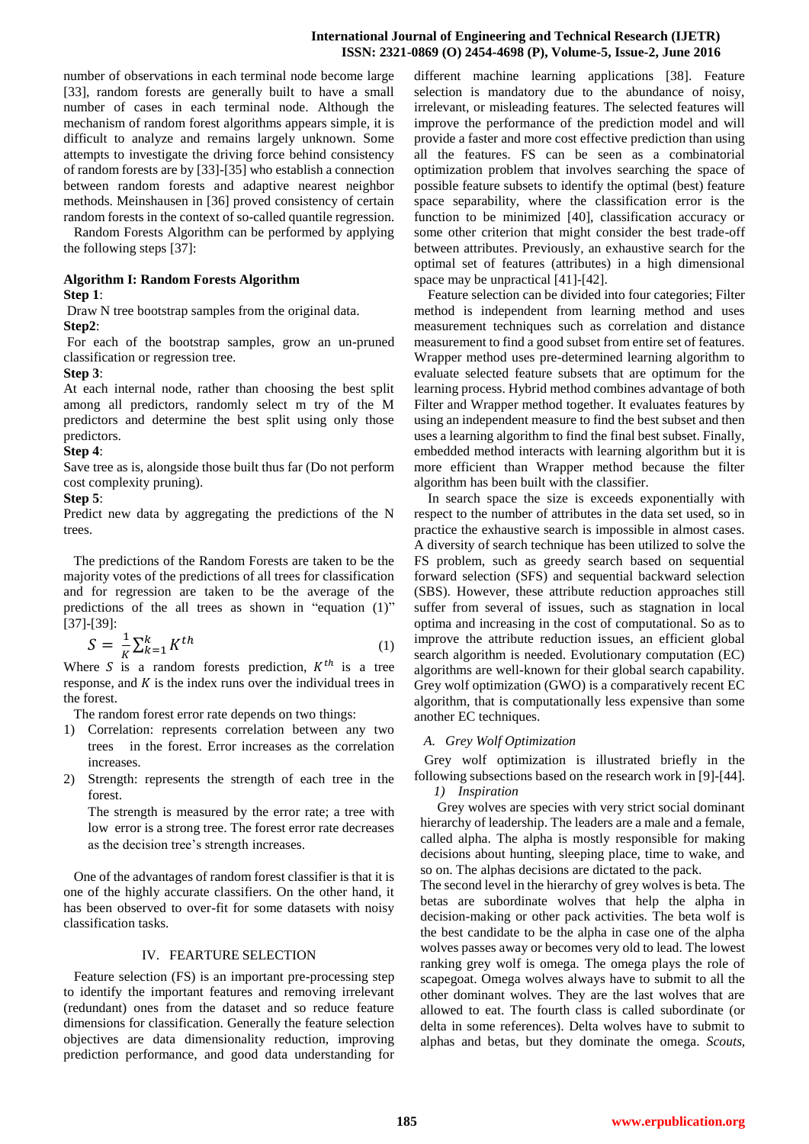number of observations in each terminal node become large [33], random forests are generally built to have a small number of cases in each terminal node. Although the mechanism of random forest algorithms appears simple, it is difficult to analyze and remains largely unknown. Some attempts to investigate the driving force behind consistency of random forests are by [33]-[35] who establish a connection between random forests and adaptive nearest neighbor methods. Meinshausen in [36] proved consistency of certain random forests in the context of so-called quantile regression.

 Random Forests Algorithm can be performed by applying the following steps [37]:

## **Algorithm I: Random Forests Algorithm**

## **Step 1**:

Draw N tree bootstrap samples from the original data.

**Step2**:

For each of the bootstrap samples, grow an un-pruned classification or regression tree.

## **Step 3**:

At each internal node, rather than choosing the best split among all predictors, randomly select m try of the M predictors and determine the best split using only those predictors.

#### **Step 4**:

Save tree as is, alongside those built thus far (Do not perform cost complexity pruning).

#### **Step 5**:

Predict new data by aggregating the predictions of the N trees.

 The predictions of the Random Forests are taken to be the majority votes of the predictions of all trees for classification and for regression are taken to be the average of the predictions of the all trees as shown in "equation (1)" [37]-[39]:

$$
S = \frac{1}{K} \sum_{k=1}^{K} K^{th}
$$
\n<sup>(1)</sup>

Where S is a random forests prediction,  $K^{th}$  is a tree response, and  $K$  is the index runs over the individual trees in the forest.

The random forest error rate depends on two things:

- 1) Correlation: represents correlation between any two trees in the forest. Error increases as the correlation increases.
- 2) Strength: represents the strength of each tree in the forest.

The strength is measured by the error rate; a tree with low error is a strong tree. The forest error rate decreases as the decision tree's strength increases.

 One of the advantages of random forest classifier is that it is one of the highly accurate classifiers. On the other hand, it has been observed to over-fit for some datasets with noisy classification tasks.

#### IV. FEARTURE SELECTION

 Feature selection (FS) is an important pre-processing step to identify the important features and removing irrelevant (redundant) ones from the dataset and so reduce feature dimensions for classification. Generally the feature selection objectives are data dimensionality reduction, improving prediction performance, and good data understanding for

different machine learning applications [38]. Feature selection is mandatory due to the abundance of noisy, irrelevant, or misleading features. The selected features will improve the performance of the prediction model and will provide a faster and more cost effective prediction than using all the features. FS can be seen as a combinatorial optimization problem that involves searching the space of possible feature subsets to identify the optimal (best) feature space separability, where the classification error is the function to be minimized [40], classification accuracy or some other criterion that might consider the best trade-off between attributes. Previously, an exhaustive search for the optimal set of features (attributes) in a high dimensional space may be unpractical [41]-[42].

 Feature selection can be divided into four categories; Filter method is independent from learning method and uses measurement techniques such as correlation and distance measurement to find a good subset from entire set of features. Wrapper method uses pre-determined learning algorithm to evaluate selected feature subsets that are optimum for the learning process. Hybrid method combines advantage of both Filter and Wrapper method together. It evaluates features by using an independent measure to find the best subset and then uses a learning algorithm to find the final best subset. Finally, embedded method interacts with learning algorithm but it is more efficient than Wrapper method because the filter algorithm has been built with the classifier.

 In search space the size is exceeds exponentially with respect to the number of attributes in the data set used, so in practice the exhaustive search is impossible in almost cases. A diversity of search technique has been utilized to solve the FS problem, such as greedy search based on sequential forward selection (SFS) and sequential backward selection (SBS). However, these attribute reduction approaches still suffer from several of issues, such as stagnation in local optima and increasing in the cost of computational. So as to improve the attribute reduction issues, an efficient global search algorithm is needed. Evolutionary computation (EC) algorithms are well-known for their global search capability. Grey wolf optimization (GWO) is a comparatively recent EC algorithm, that is computationally less expensive than some another EC techniques.

## *A. Grey Wolf Optimization*

 Grey wolf optimization is illustrated briefly in the following subsections based on the research work in [9]-[44]. *1) Inspiration*

 Grey wolves are species with very strict social dominant hierarchy of leadership. The leaders are a male and a female, called alpha. The alpha is mostly responsible for making decisions about hunting, sleeping place, time to wake, and so on. The alphas decisions are dictated to the pack.

The second level in the hierarchy of grey wolves is beta. The betas are subordinate wolves that help the alpha in decision-making or other pack activities. The beta wolf is the best candidate to be the alpha in case one of the alpha wolves passes away or becomes very old to lead. The lowest ranking grey wolf is omega. The omega plays the role of scapegoat. Omega wolves always have to submit to all the other dominant wolves. They are the last wolves that are allowed to eat. The fourth class is called subordinate (or delta in some references). Delta wolves have to submit to alphas and betas, but they dominate the omega. *Scouts,*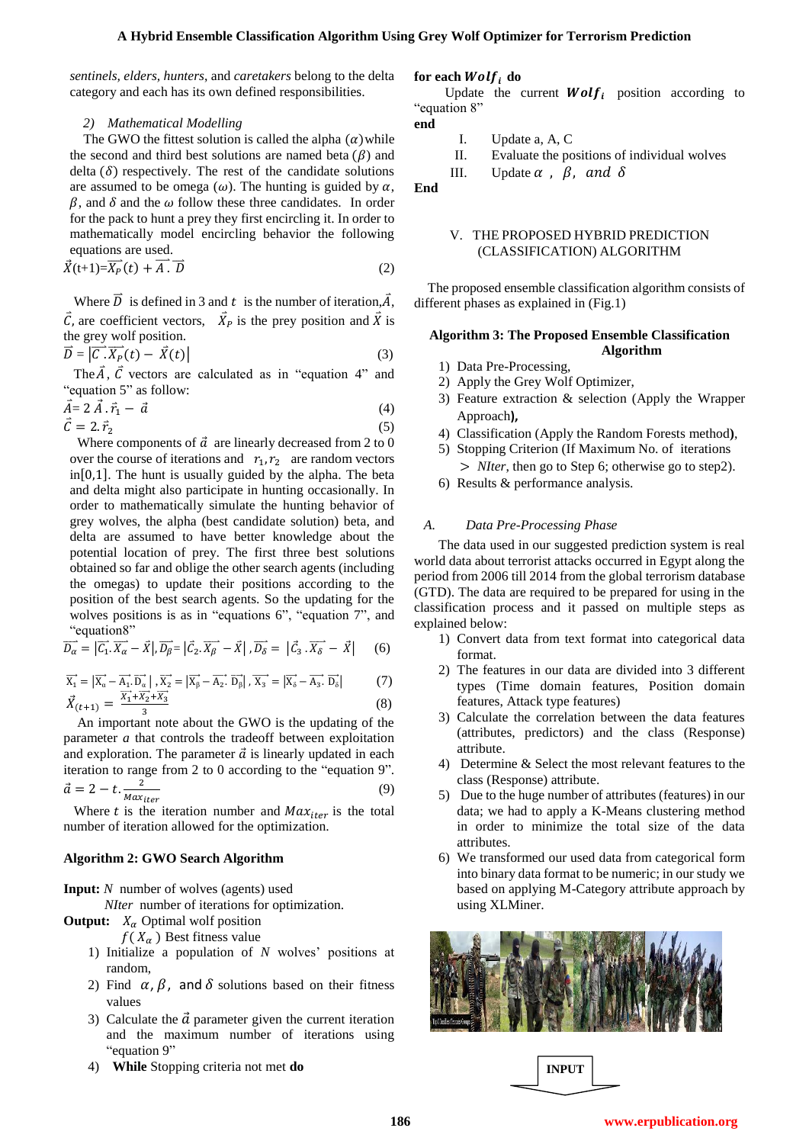*sentinels, elders, hunters*, and *caretakers* belong to the delta category and each has its own defined responsibilities.

#### *2) Mathematical Modelling*

The GWO the fittest solution is called the alpha  $(\alpha)$  while the second and third best solutions are named beta  $(\beta)$  and delta  $(\delta)$  respectively. The rest of the candidate solutions are assumed to be omega  $(\omega)$ . The hunting is guided by  $\alpha$ ,  $\beta$ , and  $\delta$  and the  $\omega$  follow these three candidates. In order for the pack to hunt a prey they first encircling it. In order to mathematically model encircling behavior the following equations are used.

$$
\vec{X}(t+1) = \overrightarrow{X_P}(t) + \overrightarrow{A} \cdot \overrightarrow{D}
$$
 (2)

Where  $D$  is defined in 3 and  $t$  is the number of iteration,  $A$ , C, are coefficient vectors,  $X_p$  is the prey position and X is the grey wolf position.

$$
\vec{D} = \left| \vec{C} \cdot \vec{X_{P}}(t) - \vec{X}(t) \right| \tag{3}
$$

The  $A$ ,  $C$  vectors are calculated as in "equation 4" and "equation 5" as follow:

$$
\vec{A} = 2 \vec{A} \cdot \vec{r}_1 - \vec{a}
$$
\n(4)\n  
\n
$$
\vec{C} = 2 \cdot \vec{r}_2
$$
\n(5)

Where components of  $\vec{a}$  are linearly decreased from 2 to 0 over the course of iterations and  $r_1, r_2$  are random vectors  $in [0,1]$ . The hunt is usually guided by the alpha. The beta and delta might also participate in hunting occasionally. In order to mathematically simulate the hunting behavior of grey wolves, the alpha (best candidate solution) beta, and delta are assumed to have better knowledge about the potential location of prey. The first three best solutions obtained so far and oblige the other search agents (including the omegas) to update their positions according to the position of the best search agents. So the updating for the wolves positions is as in "equations 6", "equation 7", and "equation8"

$$
\overrightarrow{D_{\alpha}} = |\overrightarrow{C_1} \cdot \overrightarrow{X_{\alpha}} - \overrightarrow{X}|, \overrightarrow{D_{\beta}} = |\overrightarrow{C_2} \cdot \overrightarrow{X_{\beta}} - \overrightarrow{X}|, \overrightarrow{D_{\delta}} = |\overrightarrow{C_3} \cdot \overrightarrow{X_{\delta}} - \overrightarrow{X}| \qquad (6)
$$

$$
\overrightarrow{X_1} = |\overrightarrow{X_a} - \overrightarrow{A_1} \cdot \overrightarrow{D_a}|, \overrightarrow{X_2} = |\overrightarrow{X_\beta} - \overrightarrow{A_2} \cdot \overrightarrow{D_\beta}|, \overrightarrow{X_3} = |\overrightarrow{X_\delta} - \overrightarrow{A_3} \cdot \overrightarrow{D_\delta}|
$$
(7)

$$
\vec{X}_{(t+1)} = \frac{X_1 + X_2 + X_3}{3} \tag{8}
$$

 An important note about the GWO is the updating of the parameter *a* that controls the tradeoff between exploitation and exploration. The parameter  $\vec{a}$  is linearly updated in each iteration to range from 2 to 0 according to the "equation 9".  $\vec{a} = 2 - t \cdot \frac{2}{M \cdot \mu}$ M (9)

Where t is the iteration number and  $Max_{iter}$  is the total number of iteration allowed for the optimization.

#### **Algorithm 2: GWO Search Algorithm**

**Input:** *N* number of wolves (agents) used

*NIter* number of iterations for optimization.

**Output:**  $X_\alpha$  Optimal wolf position

 $f(X_{\alpha})$  Best fitness value

- 1) Initialize a population of *N* wolves' positions at random,
- 2) Find  $\alpha$ ,  $\beta$ , and  $\delta$  solutions based on their fitness values
- 3) Calculate the  $\vec{a}$  parameter given the current iteration and the maximum number of iterations using "equation 9"
- 4) **While** Stopping criteria not met **do**

#### for each  $Wolf_i$  do

Update the current  $Wolf_i$  position according to "equation 8"

- 
- I. Update a, A, C
- II. Evaluate the positions of individual wolves III. Update  $\alpha$ ,  $\beta$ , and  $\delta$

**End**

**end**

#### V. THE PROPOSED HYBRID PREDICTION (CLASSIFICATION) ALGORITHM

 The proposed ensemble classification algorithm consists of different phases as explained in (Fig.1)

#### **Algorithm 3: The Proposed Ensemble Classification Algorithm**

- 1) Data Pre-Processing,
- 2) Apply the Grey Wolf Optimizer,
- 3) Feature extraction & selection (Apply the Wrapper Approach**),**
- 4) Classification (Apply the Random Forests method**)**,
- 5) Stopping Criterion (If Maximum No. of iterations
	- *NIter*, then go to Step 6; otherwise go to step2).
- 6) Results & performance analysis.

#### *A. Data Pre-Processing Phase*

 The data used in our suggested prediction system is real world data about terrorist attacks occurred in Egypt along the period from 2006 till 2014 from the global terrorism database (GTD). The data are required to be prepared for using in the classification process and it passed on multiple steps as explained below:

- 1) Convert data from text format into categorical data format.
- 2) The features in our data are divided into 3 different types (Time domain features, Position domain features, Attack type features)
- 3) Calculate the correlation between the data features (attributes, predictors) and the class (Response) attribute.
- 4) Determine & Select the most relevant features to the class (Response) attribute.
- 5) Due to the huge number of attributes (features) in our data; we had to apply a K-Means clustering method in order to minimize the total size of the data attributes.
- 6) We transformed our used data from categorical form into binary data format to be numeric; in our study we based on applying M-Category attribute approach by using XLMiner.



**INPUT**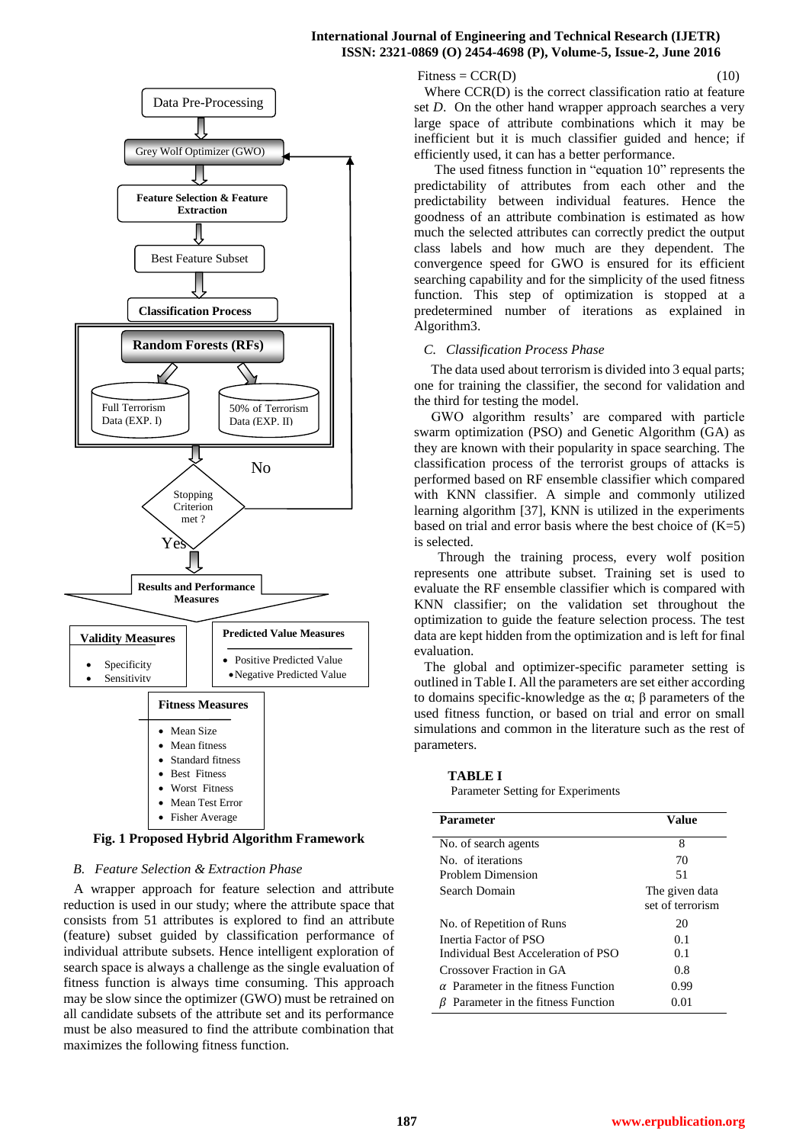#### **International Journal of Engineering and Technical Research (IJETR) ISSN: 2321-0869 (O) 2454-4698 (P), Volume-5, Issue-2, June 2016**



**Fig. 1 Proposed Hybrid Algorithm Framework**

#### *B. Feature Selection & Extraction Phase*

 A wrapper approach for feature selection and attribute reduction is used in our study; where the attribute space that consists from 51 attributes is explored to find an attribute (feature) subset guided by classification performance of individual attribute subsets. Hence intelligent exploration of search space is always a challenge as the single evaluation of fitness function is always time consuming. This approach may be slow since the optimizer (GWO) must be retrained on all candidate subsets of the attribute set and its performance must be also measured to find the attribute combination that maximizes the following fitness function.

 $Fitness = CCR(D)$  (10)

 Where CCR(D) is the correct classification ratio at feature set *D*. On the other hand wrapper approach searches a very large space of attribute combinations which it may be inefficient but it is much classifier guided and hence; if efficiently used, it can has a better performance.

 The used fitness function in "equation 10" represents the predictability of attributes from each other and the predictability between individual features. Hence the goodness of an attribute combination is estimated as how much the selected attributes can correctly predict the output class labels and how much are they dependent. The convergence speed for GWO is ensured for its efficient searching capability and for the simplicity of the used fitness function. This step of optimization is stopped at a predetermined number of iterations as explained in Algorithm3.

#### *C. Classification Process Phase*

The data used about terrorism is divided into 3 equal parts; one for training the classifier, the second for validation and the third for testing the model.

 GWO algorithm results' are compared with particle swarm optimization (PSO) and Genetic Algorithm (GA) as they are known with their popularity in space searching. The classification process of the terrorist groups of attacks is performed based on RF ensemble classifier which compared with KNN classifier. A simple and commonly utilized learning algorithm [37], KNN is utilized in the experiments based on trial and error basis where the best choice of  $(K=5)$ is selected.

 Through the training process, every wolf position represents one attribute subset. Training set is used to evaluate the RF ensemble classifier which is compared with KNN classifier; on the validation set throughout the optimization to guide the feature selection process. The test data are kept hidden from the optimization and is left for final evaluation.

 The global and optimizer-specific parameter setting is outlined in Table I. All the parameters are set either according to domains specific-knowledge as the  $\alpha$ ;  $\beta$  parameters of the used fitness function, or based on trial and error on small simulations and common in the literature such as the rest of parameters.

#### **TABLE I**

Parameter Setting for Experiments

| Parameter                                  | Value                              |
|--------------------------------------------|------------------------------------|
| No. of search agents                       | 8                                  |
| No. of iterations                          | 70                                 |
| Problem Dimension                          | 51                                 |
| Search Domain                              | The given data<br>set of terrorism |
| No. of Repetition of Runs                  | 20                                 |
| Inertia Factor of PSO                      | 0.1                                |
| Individual Best Acceleration of PSO        | 0.1                                |
| Crossover Fraction in GA                   | 0.8                                |
| $\alpha$ Parameter in the fitness Function | 0.99                               |
| Parameter in the fitness Function          | 0.01                               |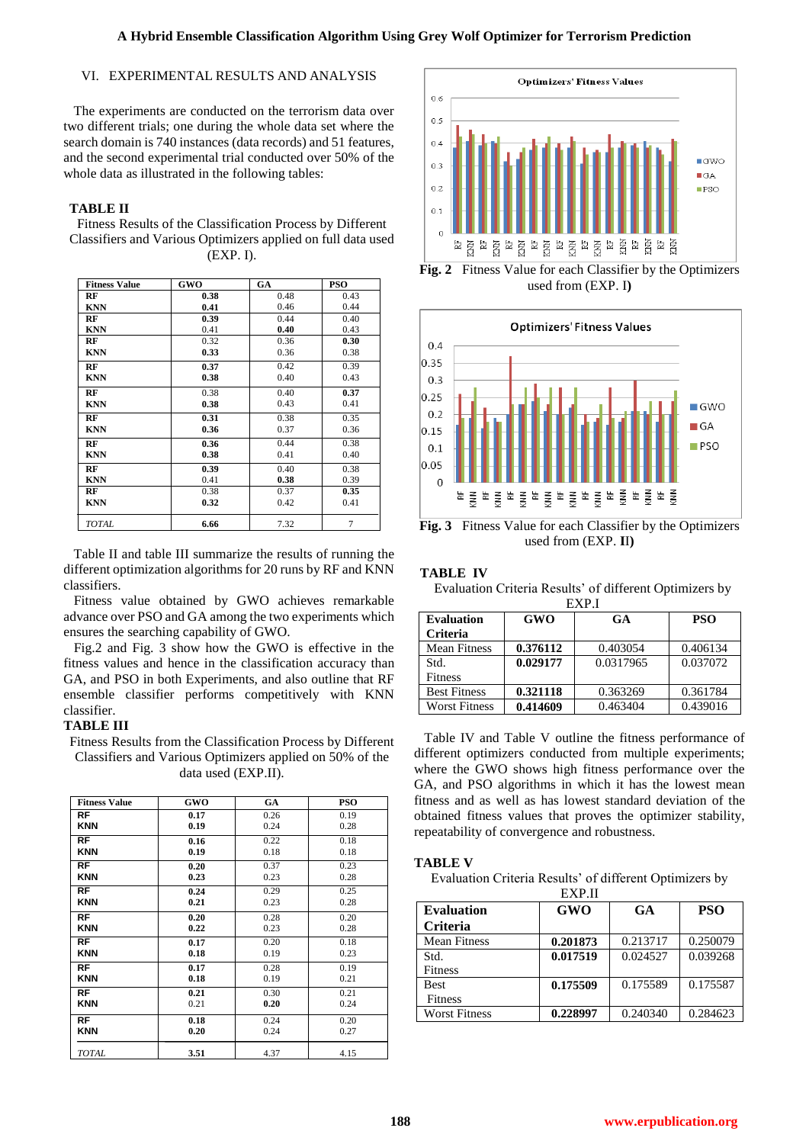# VI. EXPERIMENTAL RESULTS AND ANALYSIS

 The experiments are conducted on the terrorism data over two different trials; one during the whole data set where the search domain is 740 instances (data records) and 51 features, and the second experimental trial conducted over 50% of the whole data as illustrated in the following tables:

# **TABLE II**

Fitness Results of the Classification Process by Different Classifiers and Various Optimizers applied on full data used (EXP. I).

| <b>Fitness Value</b> | GWO  | GA   | <b>PSO</b> |
|----------------------|------|------|------------|
| RF                   | 0.38 | 0.48 | 0.43       |
| <b>KNN</b>           | 0.41 | 0.46 | 0.44       |
| RF                   | 0.39 | 0.44 | 0.40       |
| <b>KNN</b>           | 0.41 | 0.40 | 0.43       |
| RF                   | 0.32 | 0.36 | 0.30       |
| <b>KNN</b>           | 0.33 | 0.36 | 0.38       |
| RF                   | 0.37 | 0.42 | 0.39       |
| <b>KNN</b>           | 0.38 | 0.40 | 0.43       |
| RF                   | 0.38 | 0.40 | 0.37       |
| <b>KNN</b>           | 0.38 | 0.43 | 0.41       |
| RF                   | 0.31 | 0.38 | 0.35       |
| <b>KNN</b>           | 0.36 | 0.37 | 0.36       |
| RF                   | 0.36 | 0.44 | 0.38       |
| <b>KNN</b>           | 0.38 | 0.41 | 0.40       |
| RF                   | 0.39 | 0.40 | 0.38       |
| <b>KNN</b>           | 0.41 | 0.38 | 0.39       |
| RF                   | 0.38 | 0.37 | 0.35       |
| <b>KNN</b>           | 0.32 | 0.42 | 0.41       |
| <b>TOTAL</b>         | 6.66 | 7.32 | 7          |

 Table II and table III summarize the results of running the different optimization algorithms for 20 runs by RF and KNN classifiers.

 Fitness value obtained by GWO achieves remarkable advance over PSO and GA among the two experiments which ensures the searching capability of GWO.

 Fig.2 and Fig. 3 show how the GWO is effective in the fitness values and hence in the classification accuracy than GA, and PSO in both Experiments, and also outline that RF ensemble classifier performs competitively with KNN classifier.

## **TABLE III**

Fitness Results from the Classification Process by Different Classifiers and Various Optimizers applied on 50% of the data used (EXP.II).

| <b>Fitness Value</b> | GWO  | GA   | <b>PSO</b> |
|----------------------|------|------|------------|
| <b>RF</b>            | 0.17 | 0.26 | 0.19       |
| <b>KNN</b>           | 0.19 | 0.24 | 0.28       |
| <b>RF</b>            | 0.16 | 0.22 | 0.18       |
| <b>KNN</b>           | 0.19 | 0.18 | 0.18       |
| <b>RF</b>            | 0.20 | 0.37 | 0.23       |
| <b>KNN</b>           | 0.23 | 0.23 | 0.28       |
| <b>RF</b>            | 0.24 | 0.29 | 0.25       |
| <b>KNN</b>           | 0.21 | 0.23 | 0.28       |
| <b>RF</b>            | 0.20 | 0.28 | 0.20       |
| <b>KNN</b>           | 0.22 | 0.23 | 0.28       |
| <b>RF</b>            | 0.17 | 0.20 | 0.18       |
| <b>KNN</b>           | 0.18 | 0.19 | 0.23       |
| <b>RF</b>            | 0.17 | 0.28 | 0.19       |
| <b>KNN</b>           | 0.18 | 0.19 | 0.21       |
| <b>RF</b>            | 0.21 | 0.30 | 0.21       |
| <b>KNN</b>           | 0.21 | 0.20 | 0.24       |
| <b>RF</b>            | 0.18 | 0.24 | 0.20       |
| <b>KNN</b>           | 0.20 | 0.24 | 0.27       |
| <b>TOTAL</b>         | 3.51 | 4.37 | 4.15       |



**Fig. 2** Fitness Value for each Classifier by the Optimizers used from (EXP. I**)**



**Fig. 3** Fitness Value for each Classifier by the Optimizers used from (EXP. **I**I**)**

## **TABLE IV** Evaluation Criteria Results' of different Optimizers by

| EXP <sub>J</sub>     |          |           |            |  |
|----------------------|----------|-----------|------------|--|
| <b>Evaluation</b>    | GWO      | <b>GA</b> | <b>PSO</b> |  |
| <b>Criteria</b>      |          |           |            |  |
| <b>Mean Fitness</b>  | 0.376112 | 0.403054  | 0.406134   |  |
| Std.                 | 0.029177 | 0.0317965 | 0.037072   |  |
| <b>Fitness</b>       |          |           |            |  |
| <b>Best Fitness</b>  | 0.321118 | 0.363269  | 0.361784   |  |
| <b>Worst Fitness</b> | 0.414609 | 0.463404  | 0.439016   |  |

 Table IV and Table V outline the fitness performance of different optimizers conducted from multiple experiments; where the GWO shows high fitness performance over the GA, and PSO algorithms in which it has the lowest mean fitness and as well as has lowest standard deviation of the obtained fitness values that proves the optimizer stability, repeatability of convergence and robustness.

# **TABLE V**

Evaluation Criteria Results' of different Optimizers by

| EXP.II               |            |           |            |
|----------------------|------------|-----------|------------|
| <b>Evaluation</b>    | <b>GWO</b> | <b>GA</b> | <b>PSO</b> |
| <b>Criteria</b>      |            |           |            |
| <b>Mean Fitness</b>  | 0.201873   | 0.213717  | 0.250079   |
| Std.                 | 0.017519   | 0.024527  | 0.039268   |
| <b>Fitness</b>       |            |           |            |
| <b>Best</b>          | 0.175509   | 0.175589  | 0.175587   |
| Fitness              |            |           |            |
| <b>Worst Fitness</b> | 0.228997   | 0.240340  | 0.284623   |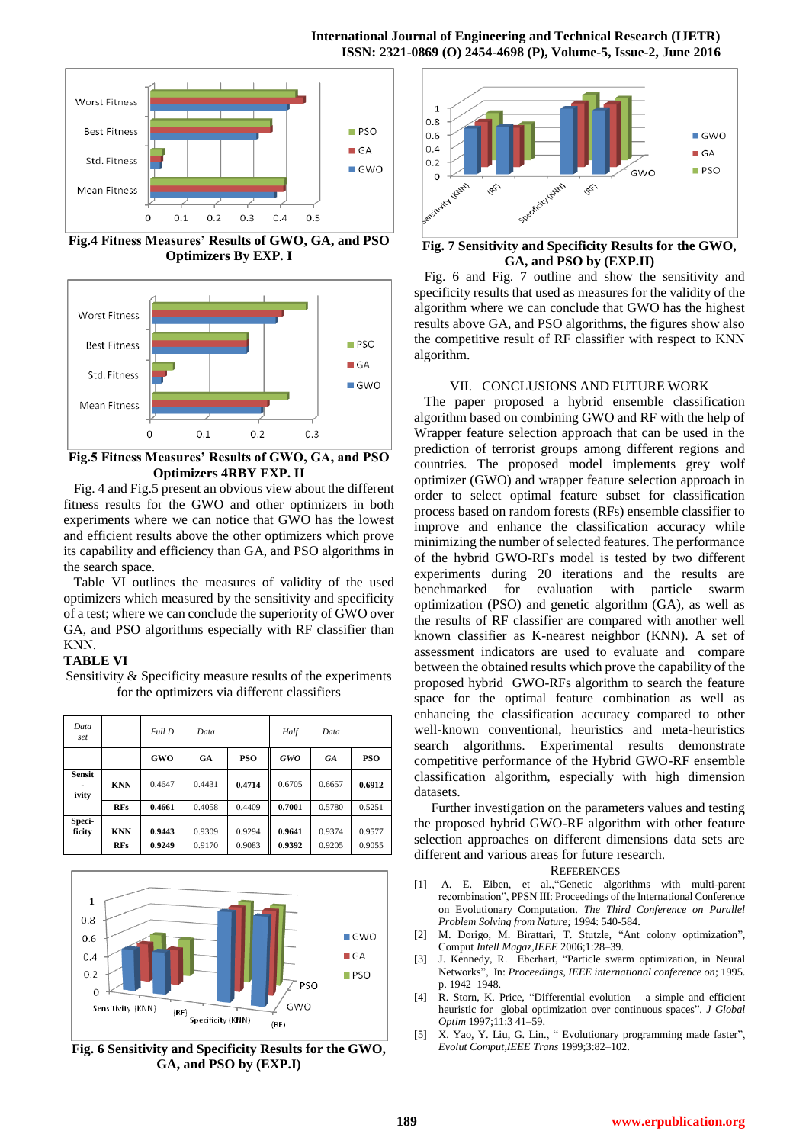

**Fig.4 Fitness Measures' Results of GWO, GA, and PSO Optimizers By EXP. I**



**Fig.5 Fitness Measures' Results of GWO, GA, and PSO Optimizers 4RBY EXP. II**

 Fig. 4 and Fig.5 present an obvious view about the different fitness results for the GWO and other optimizers in both experiments where we can notice that GWO has the lowest and efficient results above the other optimizers which prove its capability and efficiency than GA, and PSO algorithms in the search space.

 Table VI outlines the measures of validity of the used optimizers which measured by the sensitivity and specificity of a test; where we can conclude the superiority of GWO over GA, and PSO algorithms especially with RF classifier than KNN.

Sensitivity & Specificity measure results of the experiments

## **TABLE VI**

for the optimizers via different classifiers *Data set Full D Data Half Data* **GWO GA PSO** *GWO GA* **PSO Sensit ivity KNN** 0.4647 0.4431 **0.4714** 0.6705 0.6657 **0.6912 RFs 0.4661** 0.4058 0.4409 **0.7001** 0.5780 0.5251





**Fig. 6 Sensitivity and Specificity Results for the GWO, GA, and PSO by (EXP.I)**



#### **Fig. 7 Sensitivity and Specificity Results for the GWO, GA, and PSO by (EXP.II)**

 Fig. 6 and Fig. 7 outline and show the sensitivity and specificity results that used as measures for the validity of the algorithm where we can conclude that GWO has the highest results above GA, and PSO algorithms, the figures show also the competitive result of RF classifier with respect to KNN algorithm.

#### VII. CONCLUSIONS AND FUTURE WORK

 The paper proposed a hybrid ensemble classification algorithm based on combining GWO and RF with the help of Wrapper feature selection approach that can be used in the prediction of terrorist groups among different regions and countries. The proposed model implements grey wolf optimizer (GWO) and wrapper feature selection approach in order to select optimal feature subset for classification process based on random forests (RFs) ensemble classifier to improve and enhance the classification accuracy while minimizing the number of selected features. The performance of the hybrid GWO-RFs model is tested by two different experiments during 20 iterations and the results are benchmarked for evaluation with particle swarm optimization (PSO) and genetic algorithm (GA), as well as the results of RF classifier are compared with another well known classifier as K-nearest neighbor (KNN). A set of assessment indicators are used to evaluate and compare between the obtained results which prove the capability of the proposed hybrid GWO-RFs algorithm to search the feature space for the optimal feature combination as well as enhancing the classification accuracy compared to other well-known conventional, heuristics and meta-heuristics search algorithms. Experimental results demonstrate competitive performance of the Hybrid GWO-RF ensemble classification algorithm, especially with high dimension datasets.

 Further investigation on the parameters values and testing the proposed hybrid GWO-RF algorithm with other feature selection approaches on different dimensions data sets are different and various areas for future research.

#### **REFERENCES**

- [1] A. E. Eiben, et al.,"Genetic algorithms with multi-parent recombination", PPSN III: Proceedings of the International Conference on Evolutionary Computation. *The Third Conference on Parallel Problem Solving from Nature;* 1994: 540-584.
- [2] M. Dorigo, M. Birattari, T. Stutzle, "Ant colony optimization", Comput *Intell Magaz,IEEE* 2006;1:28–39.
- [3] J. Kennedy, R. Eberhart, "Particle swarm optimization, in Neural Networks", In: *Proceedings, IEEE international conference on*; 1995. p. 1942–1948.
- [4] R. Storn, K. Price, "Differential evolution a simple and efficient heuristic for global optimization over continuous spaces". *J Global Optim* 1997;11:3 41–59.
- [5] X. Yao, Y. Liu, G. Lin., " Evolutionary programming made faster", *Evolut Comput,IEEE Trans* 1999;3:82–102.